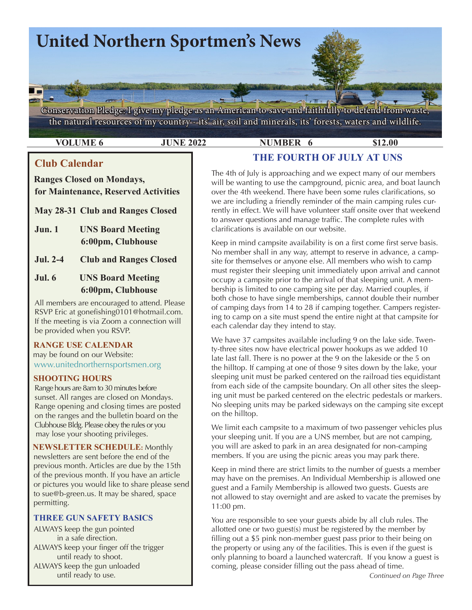

**VOLUME 6 312.00 JUNE 2022 NUMBER 6 \$12.00** 

clarifications is available on our website.

# **Club Calendar**

# **Ranges Closed on Mondays, for Maintenance, Reserved Activities**

- **May 28-31 Club and Ranges Closed**
- **Jun. 1 UNS Board Meeting 6:00pm, Clubhouse**
- **Jul. 2-4 Club and Ranges Closed**

# **Jul. 6 UNS Board Meeting 6:00pm, Clubhouse**

All members are encouraged to attend. Please RSVP Eric at gonefishing0101@hotmail.com. If the meeting is via Zoom a connection will be provided when you RSVP.

# **RANGE USE CALENDAR**  may be found on our Website:

[www.unitednorthernsportsmen.or](http://www.unitednorthernsportsmen.org)g

## **SHOOTING HOURS**

 Range hours are 8am to 30 minutes before sunset. All ranges are closed on Mondays. Range opening and closing times are posted on the ranges and the bulletin board on the Clubhouse Bldg. Please obey the rules or you may lose your shooting privileges.

 **NEWSLETTER SCHEDULE:** Monthly newsletters are sent before the end of the previous month. Articles are due by the 15th of the previous month. If you have an article or pictures you would like to share please send to sue@b-green.us. It may be shared, space permitting.

## **THREE GUN SAFETY BASICS**

ALWAYS keep the gun pointed in a safe direction. ALWAYS keep your finger off the trigger until ready to shoot. ALWAYS keep the gun unloaded until ready to use.

The 4th of July is approaching and we expect many of our members will be wanting to use the campground, picnic area, and boat launch over the 4th weekend. There have been some rules clarifications, so we are including a friendly reminder of the main camping rules currently in effect. We will have volunteer staff onsite over that weekend to answer questions and manage traffic. The complete rules with

**THE FOURTH OF JULY AT UNS**

Keep in mind campsite availability is on a first come first serve basis. No member shall in any way, attempt to reserve in advance, a campsite for themselves or anyone else. All members who wish to camp must register their sleeping unit immediately upon arrival and cannot occupy a campsite prior to the arrival of that sleeping unit. A membership is limited to one camping site per day. Married couples, if both chose to have single memberships, cannot double their number of camping days from 14 to 28 if camping together. Campers registering to camp on a site must spend the entire night at that campsite for each calendar day they intend to stay.

We have 37 campsites available including 9 on the lake side. Twenty-three sites now have electrical power hookups as we added 10 late last fall. There is no power at the 9 on the lakeside or the 5 on the hilltop. If camping at one of those 9 sites down by the lake, your sleeping unit must be parked centered on the railroad ties equidistant from each side of the campsite boundary. On all other sites the sleeping unit must be parked centered on the electric pedestals or markers. No sleeping units may be parked sideways on the camping site except on the hilltop.

We limit each campsite to a maximum of two passenger vehicles plus your sleeping unit. If you are a UNS member, but are not camping, you will are asked to park in an area designated for non-camping members. If you are using the picnic areas you may park there.

Keep in mind there are strict limits to the number of guests a member may have on the premises. An Individual Membership is allowed one guest and a Family Membership is allowed two guests. Guests are not allowed to stay overnight and are asked to vacate the premises by 11:00 pm.

You are responsible to see your guests abide by all club rules. The allotted one or two guest(s) must be registered by the member by filling out a \$5 pink non-member guest pass prior to their being on the property or using any of the facilities. This is even if the guest is only planning to board a launched watercraft. If you know a guest is coming, please consider filling out the pass ahead of time.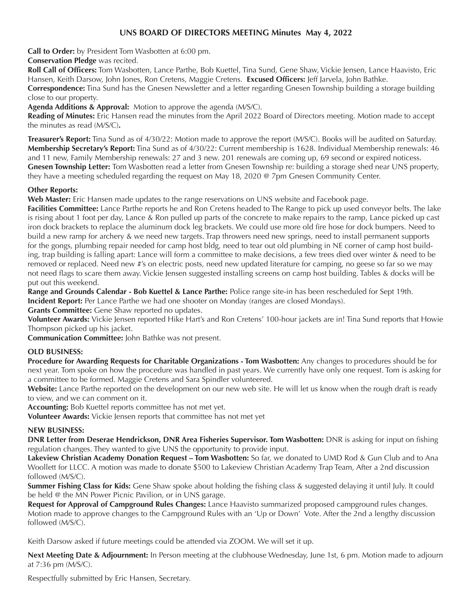## **UNS BOARD OF DIRECTORS MEETING Minutes May 4, 2022**

**Call to Order:** by President Tom Wasbotten at 6:00 pm.

 **Conservation Pledge** was recited.

**Roll Call of Officers:** Tom Wasbotten, Lance Parthe, Bob Kuettel, Tina Sund, Gene Shaw, Vickie Jensen, Lance Haavisto, Eric Hansen, Keith Darsow, John Jones, Ron Cretens, Maggie Cretens. **Excused Officers:** Jeff Jarvela, John Bathke.

**Correspondence:** Tina Sund has the Gnesen Newsletter and a letter regarding Gnesen Township building a storage building close to our property.

**Agenda Additions & Approval:** Motion to approve the agenda (M/S/C).

**Reading of Minutes:** Eric Hansen read the minutes from the April 2022 Board of Directors meeting. Motion made to accept the minutes as read (M/S/C)**.**

**Treasurer's Report:** Tina Sund as of 4/30/22: Motion made to approve the report (M/S/C). Books will be audited on Saturday. **Membership Secretary's Report:** Tina Sund as of 4/30/22: Current membership is 1628. Individual Membership renewals: 46 and 11 new, Family Membership renewals: 27 and 3 new. 201 renewals are coming up, 69 second or expired noticess. **Gnesen Township Letter:** Tom Wasbotten read a letter from Gnesen Township re: building a storage shed near UNS property, they have a meeting scheduled regarding the request on May 18, 2020 @ 7pm Gnesen Community Center.

### **Other Reports:**

**Web Master:** Eric Hansen made updates to the range reservations on UNS website and Facebook page.

**Facilities Committee:** Lance Parthe reports he and Ron Cretens headed to The Range to pick up used conveyor belts. The lake is rising about 1 foot per day, Lance & Ron pulled up parts of the concrete to make repairs to the ramp, Lance picked up cast iron dock brackets to replace the aluminum dock leg brackets. We could use more old fire hose for dock bumpers. Need to build a new ramp for archery & we need new targets. Trap throwers need new springs, need to install permanent supports for the gongs, plumbing repair needed for camp host bldg, need to tear out old plumbing in NE corner of camp host building, trap building is falling apart: Lance will form a committee to make decisions, a few trees died over winter & need to be removed or replaced. Need new #'s on electric posts, need new updated literature for camping, no geese so far so we may not need flags to scare them away. Vickie Jensen suggested installing screens on camp host building. Tables & docks will be put out this weekend.

**Range and Grounds Calendar - Bob Kuettel & Lance Parthe:** Police range site-in has been rescheduled for Sept 19th.

**Incident Report:** Per Lance Parthe we had one shooter on Monday (ranges are closed Mondays).

**Grants Committee:** Gene Shaw reported no updates.

**Volunteer Awards:** Vickie Jensen reported Hike Hart's and Ron Cretens' 100-hour jackets are in! Tina Sund reports that Howie Thompson picked up his jacket.

**Communication Committee:** John Bathke was not present.

### **OLD BUSINESS:**

**Procedure for Awarding Requests for Charitable Organizations - Tom Wasbotten:** Any changes to procedures should be for next year. Tom spoke on how the procedure was handled in past years. We currently have only one request. Tom is asking for a committee to be formed. Maggie Cretens and Sara Spindler volunteered.

**Website:** Lance Parthe reported on the development on our new web site. He will let us know when the rough draft is ready to view, and we can comment on it.

**Accounting:** Bob Kuettel reports committee has not met yet.

**Volunteer Awards:** Vickie Jensen reports that committee has not met yet

### **NEW BUSINESS:**

**DNR Letter from Deserae Hendrickson, DNR Area Fisheries Supervisor. Tom Wasbotten:** DNR is asking for input on fishing regulation changes. They wanted to give UNS the opportunity to provide input.

**Lakeview Christian Academy Donation Request – Tom Wasbotten:** So far, we donated to UMD Rod & Gun Club and to Ana Woollett for LLCC. A motion was made to donate \$500 to Lakeview Christian Academy Trap Team, After a 2nd discussion followed (M/S/C).

**Summer Fishing Class for Kids:** Gene Shaw spoke about holding the fishing class & suggested delaying it until July. It could be held @ the MN Power Picnic Pavilion, or in UNS garage.

**Request for Approval of Campground Rules Changes:** Lance Haavisto summarized proposed campground rules changes. Motion made to approve changes to the Campground Rules with an 'Up or Down' Vote. After the 2nd a lengthy discussion followed (M/S/C).

Keith Darsow asked if future meetings could be attended via ZOOM. We will set it up.

**Next Meeting Date & Adjournment:** In Person meeting at the clubhouse Wednesday, June 1st, 6 pm. Motion made to adjourn at 7:36 pm (M/S/C).

Respectfully submitted by Eric Hansen, Secretary.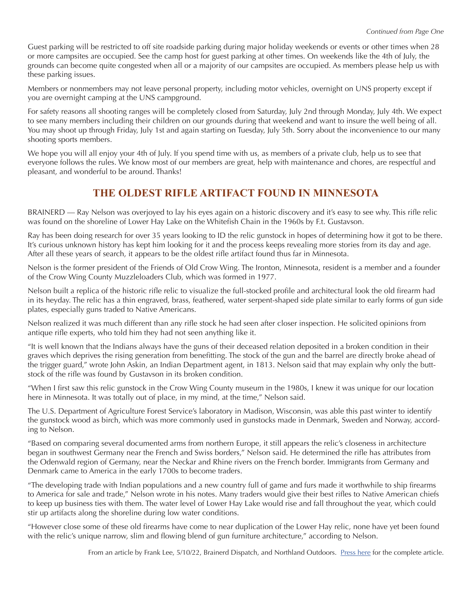Guest parking will be restricted to off site roadside parking during major holiday weekends or events or other times when 28 or more campsites are occupied. See the camp host for guest parking at other times. On weekends like the 4th of July, the grounds can become quite congested when all or a majority of our campsites are occupied. As members please help us with these parking issues.

Members or nonmembers may not leave personal property, including motor vehicles, overnight on UNS property except if you are overnight camping at the UNS campground.

For safety reasons all shooting ranges will be completely closed from Saturday, July 2nd through Monday, July 4th. We expect to see many members including their children on our grounds during that weekend and want to insure the well being of all. You may shoot up through Friday, July 1st and again starting on Tuesday, July 5th. Sorry about the inconvenience to our many shooting sports members.

We hope you will all enjoy your 4th of July. If you spend time with us, as members of a private club, help us to see that everyone follows the rules. We know most of our members are great, help with maintenance and chores, are respectful and pleasant, and wonderful to be around. Thanks!

# **THE OLDEST RIFLE ARTIFACT FOUND IN MINNESOTA**

BRAINERD — Ray Nelson was overjoyed to lay his eyes again on a historic discovery and it's easy to see why. This rifle relic was found on the shoreline of Lower Hay Lake on the Whitefish Chain in the 1960s by F.t. Gustavson.

Ray has been doing research for over 35 years looking to ID the relic gunstock in hopes of determining how it got to be there. It's curious unknown history has kept him looking for it and the process keeps revealing more stories from its day and age. After all these years of search, it appears to be the oldest rifle artifact found thus far in Minnesota.

Nelson is the former president of the Friends of Old Crow Wing. The Ironton, Minnesota, resident is a member and a founder of the Crow Wing County Muzzleloaders Club, which was formed in 1977.

Nelson built a replica of the historic rifle relic to visualize the full-stocked profile and architectural look the old firearm had in its heyday. The relic has a thin engraved, brass, feathered, water serpent-shaped side plate similar to early forms of gun side plates, especially guns traded to Native Americans.

Nelson realized it was much different than any rifle stock he had seen after closer inspection. He solicited opinions from antique rifle experts, who told him they had not seen anything like it.

"It is well known that the Indians always have the guns of their deceased relation deposited in a broken condition in their graves which deprives the rising generation from benefitting. The stock of the gun and the barrel are directly broke ahead of the trigger guard," wrote John Askin, an Indian Department agent, in 1813. Nelson said that may explain why only the buttstock of the rifle was found by Gustavson in its broken condition.

"When I first saw this relic gunstock in the Crow Wing County museum in the 1980s, I knew it was unique for our location here in Minnesota. It was totally out of place, in my mind, at the time," Nelson said.

The U.S. Department of Agriculture Forest Service's laboratory in Madison, Wisconsin, was able this past winter to identify the gunstock wood as birch, which was more commonly used in gunstocks made in Denmark, Sweden and Norway, according to Nelson.

"Based on comparing several documented arms from northern Europe, it still appears the relic's closeness in architecture began in southwest Germany near the French and Swiss borders," Nelson said. He determined the rifle has attributes from the Odenwald region of Germany, near the Neckar and Rhine rivers on the French border. Immigrants from Germany and Denmark came to America in the early 1700s to become traders.

"The developing trade with Indian populations and a new country full of game and furs made it worthwhile to ship firearms to America for sale and trade," Nelson wrote in his notes. Many traders would give their best rifles to Native American chiefs to keep up business ties with them. The water level of Lower Hay Lake would rise and fall throughout the year, which could stir up artifacts along the shoreline during low water conditions.

"However close some of these old firearms have come to near duplication of the Lower Hay relic, none have yet been found with the relic's unique narrow, slim and flowing blend of gun furniture architecture," according to Nelson.

From an article by Frank Lee, 5/10/22, Brainerd Dispatch, and Northland Outdoors. [Press](https://www.duluthnewstribune.com/sports/northland-outdoors/rifle-believed-to-be-minnesotas-oldest-was-found-north-of-brainerd?utm_medium=email&utm_source=newsletter&utm_campaign=northland&utm_content=500010) here for the complete article.